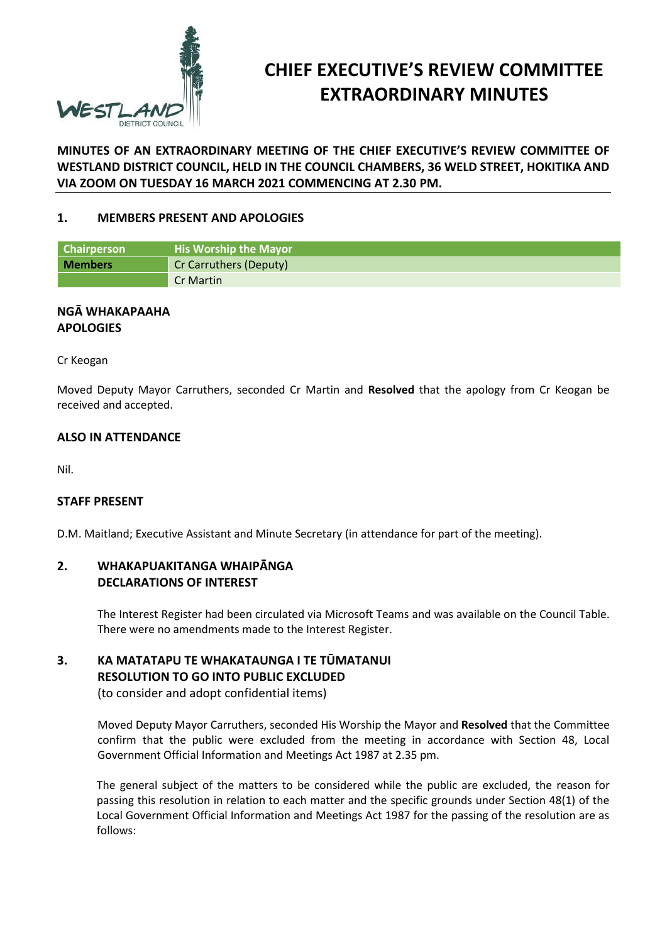

# **CHIEF EXECUTIVE'S REVIEW COMMITTEE EXTRAORDINARY MINUTES**

**MINUTES OF AN EXTRAORDINARY MEETING OF THE CHIEF EXECUTIVE'S REVIEW COMMITTEE OF WESTLAND DISTRICT COUNCIL, HELD IN THE COUNCIL CHAMBERS, 36 WELD STREET, HOKITIKA AND VIA ZOOM ON TUESDAY 16 MARCH 2021 COMMENCING AT 2.30 PM.**

## **1. MEMBERS PRESENT AND APOLOGIES**

| <b>Chairperson</b> | <b>His Worship the Mayor</b> |  |
|--------------------|------------------------------|--|
| <b>Members</b>     | Cr Carruthers (Deputy)       |  |
|                    | Cr Martin                    |  |

## **NGĀ WHAKAPAAHA APOLOGIES**

Cr Keogan

Moved Deputy Mayor Carruthers, seconded Cr Martin and **Resolved** that the apology from Cr Keogan be received and accepted.

#### **ALSO IN ATTENDANCE**

Nil.

#### **STAFF PRESENT**

D.M. Maitland; Executive Assistant and Minute Secretary (in attendance for part of the meeting).

# **2. WHAKAPUAKITANGA WHAIPĀNGA DECLARATIONS OF INTEREST**

The Interest Register had been circulated via Microsoft Teams and was available on the Council Table. There were no amendments made to the Interest Register.

# **3. KA MATATAPU TE WHAKATAUNGA I TE TŪMATANUI RESOLUTION TO GO INTO PUBLIC EXCLUDED**

(to consider and adopt confidential items)

Moved Deputy Mayor Carruthers, seconded His Worship the Mayor and **Resolved** that the Committee confirm that the public were excluded from the meeting in accordance with Section 48, Local Government Official Information and Meetings Act 1987 at 2.35 pm.

The general subject of the matters to be considered while the public are excluded, the reason for passing this resolution in relation to each matter and the specific grounds under Section 48(1) of the Local Government Official Information and Meetings Act 1987 for the passing of the resolution are as follows: